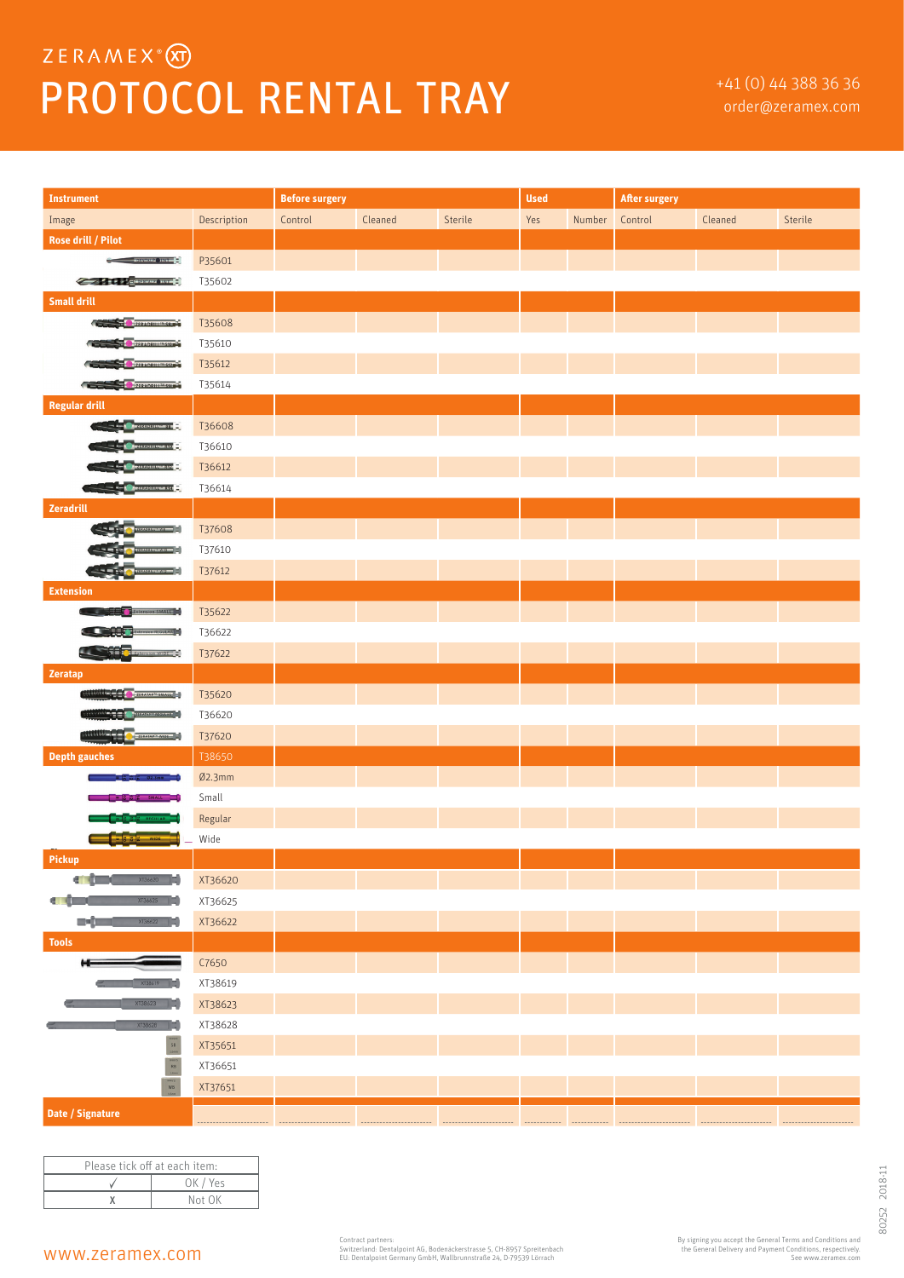## ZERAMEX<sup>®</sup> PROTOCOL RENTAL TRAY **Fraction**  $^{+41 (0) 44 388 36 36}$

| <b>Instrument</b>                                                                                                                                                                                                                                                                                                                                                                                                                                                                          |             | <b>Before surgery</b> |         |         | <b>Used</b> |        | <b>After surgery</b> |         |         |
|--------------------------------------------------------------------------------------------------------------------------------------------------------------------------------------------------------------------------------------------------------------------------------------------------------------------------------------------------------------------------------------------------------------------------------------------------------------------------------------------|-------------|-----------------------|---------|---------|-------------|--------|----------------------|---------|---------|
| Image                                                                                                                                                                                                                                                                                                                                                                                                                                                                                      | Description | Control               | Cleaned | Sterile | Yes         | Number | Control              | Cleaned | Sterile |
| <b>Rose drill / Pilot</b>                                                                                                                                                                                                                                                                                                                                                                                                                                                                  |             |                       |         |         |             |        |                      |         |         |
| <b>Commental</b> Home                                                                                                                                                                                                                                                                                                                                                                                                                                                                      | P35601      |                       |         |         |             |        |                      |         |         |
| <b>Contract Communication</b>                                                                                                                                                                                                                                                                                                                                                                                                                                                              | T35602      |                       |         |         |             |        |                      |         |         |
| <b>Small drill</b>                                                                                                                                                                                                                                                                                                                                                                                                                                                                         |             |                       |         |         |             |        |                      |         |         |
| <b>EDITOR PRADRILL IN SERVICE</b>                                                                                                                                                                                                                                                                                                                                                                                                                                                          | T35608      |                       |         |         |             |        |                      |         |         |
| ZERADRILL <sup>IN</sup> S10                                                                                                                                                                                                                                                                                                                                                                                                                                                                | T35610      |                       |         |         |             |        |                      |         |         |
| ZERADRILL <sup>IN</sup> 512                                                                                                                                                                                                                                                                                                                                                                                                                                                                | T35612      |                       |         |         |             |        |                      |         |         |
| ZERADRILL <sup>IN</sup> SM                                                                                                                                                                                                                                                                                                                                                                                                                                                                 | T35614      |                       |         |         |             |        |                      |         |         |
| <b>Regular drill</b>                                                                                                                                                                                                                                                                                                                                                                                                                                                                       |             |                       |         |         |             |        |                      |         |         |
|                                                                                                                                                                                                                                                                                                                                                                                                                                                                                            | T36608      |                       |         |         |             |        |                      |         |         |
| 218208110-510 <b>C</b>                                                                                                                                                                                                                                                                                                                                                                                                                                                                     | T36610      |                       |         |         |             |        |                      |         |         |
| RADRILL® R12 E.                                                                                                                                                                                                                                                                                                                                                                                                                                                                            | T36612      |                       |         |         |             |        |                      |         |         |
| <b>EXISTENDING CONTINUES</b>                                                                                                                                                                                                                                                                                                                                                                                                                                                               | T36614      |                       |         |         |             |        |                      |         |         |
| Zeradrill                                                                                                                                                                                                                                                                                                                                                                                                                                                                                  |             |                       |         |         |             |        |                      |         |         |
| $m - m = -1$                                                                                                                                                                                                                                                                                                                                                                                                                                                                               | T37608      |                       |         |         |             |        |                      |         |         |
| <b>CONSTRUCT</b>                                                                                                                                                                                                                                                                                                                                                                                                                                                                           | T37610      |                       |         |         |             |        |                      |         |         |
|                                                                                                                                                                                                                                                                                                                                                                                                                                                                                            | T37612      |                       |         |         |             |        |                      |         |         |
| <b>Extension</b>                                                                                                                                                                                                                                                                                                                                                                                                                                                                           |             |                       |         |         |             |        |                      |         |         |
| <b>Extension SMALL</b>                                                                                                                                                                                                                                                                                                                                                                                                                                                                     | T35622      |                       |         |         |             |        |                      |         |         |
| <b>AREGULAR</b>                                                                                                                                                                                                                                                                                                                                                                                                                                                                            | T36622      |                       |         |         |             |        |                      |         |         |
| $\overline{\phantom{a}}$<br><b>THE CERTIFICATE</b>                                                                                                                                                                                                                                                                                                                                                                                                                                         | T37622      |                       |         |         |             |        |                      |         |         |
| Zeratap                                                                                                                                                                                                                                                                                                                                                                                                                                                                                    |             |                       |         |         |             |        |                      |         |         |
| ZERATAP <sup>TH</sup> SMALL                                                                                                                                                                                                                                                                                                                                                                                                                                                                | T35620      |                       |         |         |             |        |                      |         |         |
| ERAMP REGULAR                                                                                                                                                                                                                                                                                                                                                                                                                                                                              | T36620      |                       |         |         |             |        |                      |         |         |
| <b>MARKET A CARATARY WIDE (2)</b>                                                                                                                                                                                                                                                                                                                                                                                                                                                          | T37620      |                       |         |         |             |        |                      |         |         |
| <b>Depth gauches</b>                                                                                                                                                                                                                                                                                                                                                                                                                                                                       | T38650      |                       |         |         |             |        |                      |         |         |
| 02.3mm                                                                                                                                                                                                                                                                                                                                                                                                                                                                                     | Ø2.3mm      |                       |         |         |             |        |                      |         |         |
| $\frac{1}{2}$ $\frac{1}{2}$ small $\frac{1}{2}$                                                                                                                                                                                                                                                                                                                                                                                                                                            | Small       |                       |         |         |             |        |                      |         |         |
| <b>E &amp; REGULAR</b>                                                                                                                                                                                                                                                                                                                                                                                                                                                                     | Regular     |                       |         |         |             |        |                      |         |         |
| <mark>중 날 - WIDE - -</mark>                                                                                                                                                                                                                                                                                                                                                                                                                                                                | Wide        |                       |         |         |             |        |                      |         |         |
| Pickup                                                                                                                                                                                                                                                                                                                                                                                                                                                                                     |             |                       |         |         |             |        |                      |         |         |
| <b>COL</b><br>$\times$ T36620                                                                                                                                                                                                                                                                                                                                                                                                                                                              | XT36620     |                       |         |         |             |        |                      |         |         |
| XT36625<br>$\blacksquare$                                                                                                                                                                                                                                                                                                                                                                                                                                                                  | XT36625     |                       |         |         |             |        |                      |         |         |
| m-(n<br>XT36622                                                                                                                                                                                                                                                                                                                                                                                                                                                                            | XT36622     |                       |         |         |             |        |                      |         |         |
| <b>Tools</b>                                                                                                                                                                                                                                                                                                                                                                                                                                                                               |             |                       |         |         |             |        |                      |         |         |
| н                                                                                                                                                                                                                                                                                                                                                                                                                                                                                          | C7650       |                       |         |         |             |        |                      |         |         |
| XT38619                                                                                                                                                                                                                                                                                                                                                                                                                                                                                    | XT38619     |                       |         |         |             |        |                      |         |         |
| XT38623                                                                                                                                                                                                                                                                                                                                                                                                                                                                                    | XT38623     |                       |         |         |             |        |                      |         |         |
| XT38628                                                                                                                                                                                                                                                                                                                                                                                                                                                                                    | XT38628     |                       |         |         |             |        |                      |         |         |
| $\begin{array}{c}\n\text{my}\n\text{O} \\ \text{SB} \\ \text{Lfmm}\n\end{array}$                                                                                                                                                                                                                                                                                                                                                                                                           | XT35651     |                       |         |         |             |        |                      |         |         |
| $\begin{tabular}{ c c } \hline \hline \multicolumn{1}{ c }{\multicolumn{1}{ c }{\hspace{1.5cm}}\hline} & \multicolumn{1}{ c }{\hspace{1.5cm}} & \multicolumn{1}{ c }{\hspace{1.5cm}} \\ \multicolumn{1}{ c }{\hspace{1.5cm}} & \multicolumn{1}{ c }{\hspace{1.5cm}} & \multicolumn{1}{ c }{\hspace{1.5cm}} & \multicolumn{1}{ c }{\hspace{1.5cm}} \\ \multicolumn{1}{ c }{\hspace{1.5cm}} & \multicolumn{1}{ c }{\hspace{1.5cm$<br>$\begin{array}{c} \hbox{m/sy} \\ \hbox{WB} \end{array}$ | XT36651     |                       |         |         |             |        |                      |         |         |
|                                                                                                                                                                                                                                                                                                                                                                                                                                                                                            | XT37651     |                       |         |         |             |        |                      |         |         |
| Date / Signature                                                                                                                                                                                                                                                                                                                                                                                                                                                                           |             |                       |         |         |             |        |                      |         |         |

| Please tick off at each item: |          |  |  |  |
|-------------------------------|----------|--|--|--|
|                               | OK / Yes |  |  |  |
|                               | Not OK   |  |  |  |